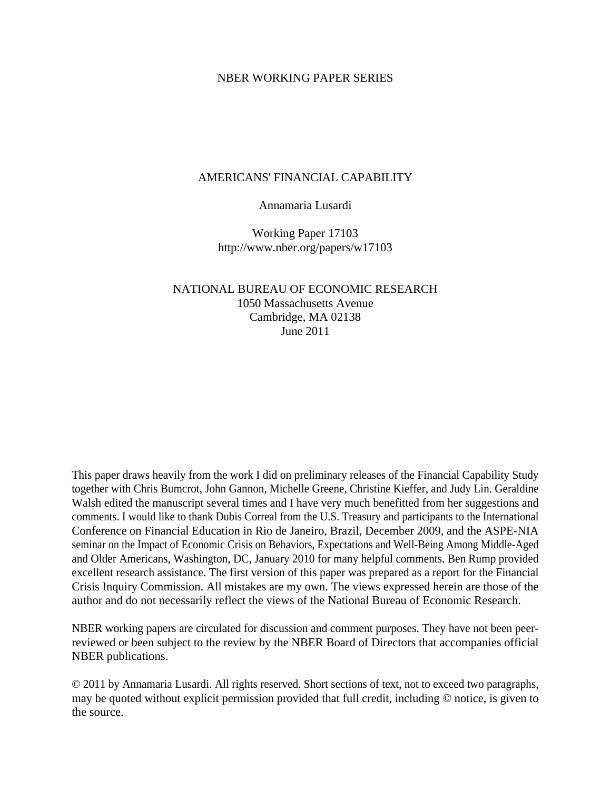#### NBER WORKING PAPER SERIES

#### AMERICANS' FINANCIAL CAPABILITY

#### Annamaria Lusardi

Working Paper 17103 http://www.nber.org/papers/w17103

### NATIONAL BUREAU OF ECONOMIC RESEARCH 1050 Massachusetts Avenue Cambridge, MA 02138 June 2011

This paper draws heavily from the work I did on preliminary releases of the Financial Capability Study together with Chris Bumcrot, John Gannon, Michelle Greene, Christine Kieffer, and Judy Lin. Geraldine Walsh edited the manuscript several times and I have very much benefitted from her suggestions and comments. I would like to thank Dubis Correal from the U.S. Treasury and participants to the International Conference on Financial Education in Rio de Janeiro, Brazil, December 2009, and the ASPE-NIA seminar on the Impact of Economic Crisis on Behaviors, Expectations and Well-Being Among Middle-Aged and Older Americans, Washington, DC, January 2010 for many helpful comments. Ben Rump provided excellent research assistance. The first version of this paper was prepared as a report for the Financial Crisis Inquiry Commission. All mistakes are my own. The views expressed herein are those of the author and do not necessarily reflect the views of the National Bureau of Economic Research.

NBER working papers are circulated for discussion and comment purposes. They have not been peerreviewed or been subject to the review by the NBER Board of Directors that accompanies official NBER publications.

© 2011 by Annamaria Lusardi. All rights reserved. Short sections of text, not to exceed two paragraphs, may be quoted without explicit permission provided that full credit, including © notice, is given to the source.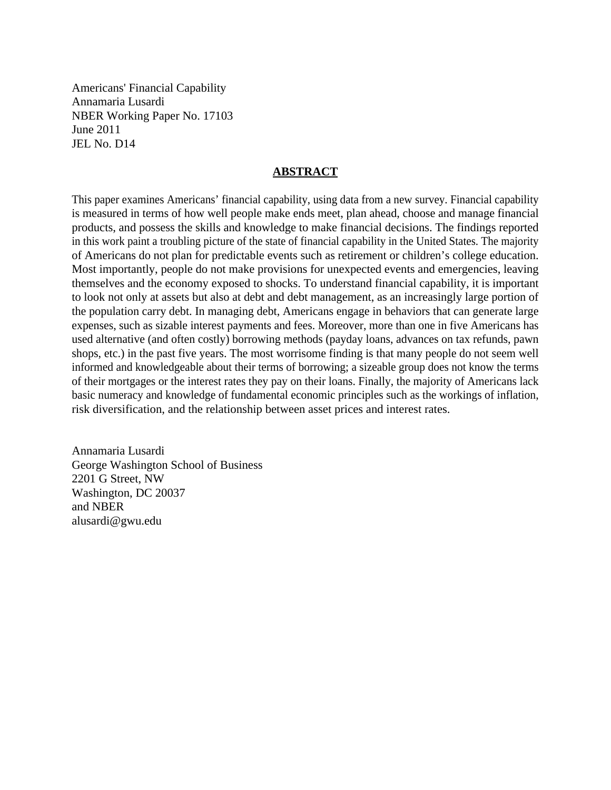Americans' Financial Capability Annamaria Lusardi NBER Working Paper No. 17103 June 2011 JEL No. D14

#### **ABSTRACT**

This paper examines Americans' financial capability, using data from a new survey. Financial capability is measured in terms of how well people make ends meet, plan ahead, choose and manage financial products, and possess the skills and knowledge to make financial decisions. The findings reported in this work paint a troubling picture of the state of financial capability in the United States. The majority of Americans do not plan for predictable events such as retirement or children's college education. Most importantly, people do not make provisions for unexpected events and emergencies, leaving themselves and the economy exposed to shocks. To understand financial capability, it is important to look not only at assets but also at debt and debt management, as an increasingly large portion of the population carry debt. In managing debt, Americans engage in behaviors that can generate large expenses, such as sizable interest payments and fees. Moreover, more than one in five Americans has used alternative (and often costly) borrowing methods (payday loans, advances on tax refunds, pawn shops, etc.) in the past five years. The most worrisome finding is that many people do not seem well informed and knowledgeable about their terms of borrowing; a sizeable group does not know the terms of their mortgages or the interest rates they pay on their loans. Finally, the majority of Americans lack basic numeracy and knowledge of fundamental economic principles such as the workings of inflation, risk diversification, and the relationship between asset prices and interest rates.

Annamaria Lusardi George Washington School of Business 2201 G Street, NW Washington, DC 20037 and NBER alusardi@gwu.edu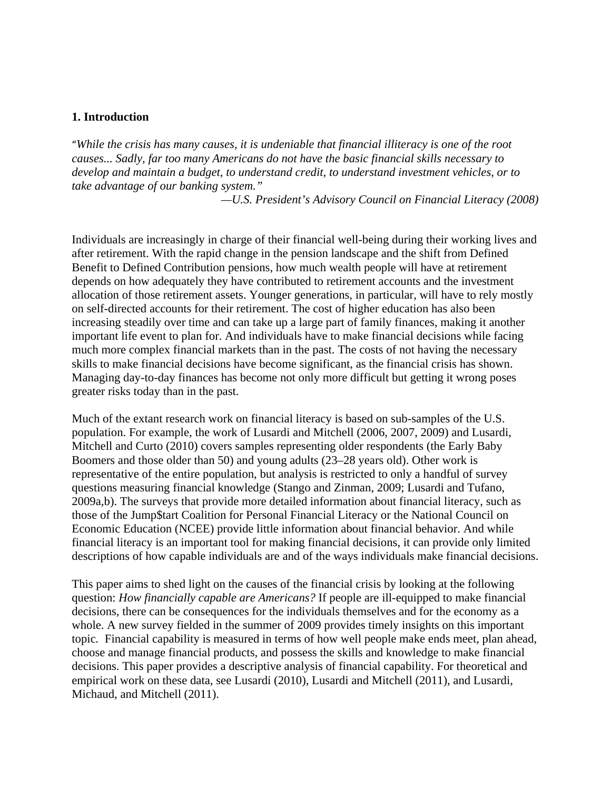#### **1. Introduction**

"*While the crisis has many causes, it is undeniable that financial illiteracy is one of the root causes... Sadly, far too many Americans do not have the basic financial skills necessary to develop and maintain a budget, to understand credit, to understand investment vehicles, or to take advantage of our banking system."* 

*—U.S. President's Advisory Council on Financial Literacy (2008)* 

Individuals are increasingly in charge of their financial well-being during their working lives and after retirement. With the rapid change in the pension landscape and the shift from Defined Benefit to Defined Contribution pensions, how much wealth people will have at retirement depends on how adequately they have contributed to retirement accounts and the investment allocation of those retirement assets. Younger generations, in particular, will have to rely mostly on self-directed accounts for their retirement. The cost of higher education has also been increasing steadily over time and can take up a large part of family finances, making it another important life event to plan for. And individuals have to make financial decisions while facing much more complex financial markets than in the past. The costs of not having the necessary skills to make financial decisions have become significant, as the financial crisis has shown. Managing day-to-day finances has become not only more difficult but getting it wrong poses greater risks today than in the past.

Much of the extant research work on financial literacy is based on sub-samples of the U.S. population. For example, the work of Lusardi and Mitchell (2006, 2007, 2009) and Lusardi, Mitchell and Curto (2010) covers samples representing older respondents (the Early Baby Boomers and those older than 50) and young adults (23–28 years old). Other work is representative of the entire population, but analysis is restricted to only a handful of survey questions measuring financial knowledge (Stango and Zinman, 2009; Lusardi and Tufano, 2009a,b). The surveys that provide more detailed information about financial literacy, such as those of the Jump\$tart Coalition for Personal Financial Literacy or the National Council on Economic Education (NCEE) provide little information about financial behavior. And while financial literacy is an important tool for making financial decisions, it can provide only limited descriptions of how capable individuals are and of the ways individuals make financial decisions.

This paper aims to shed light on the causes of the financial crisis by looking at the following question: *How financially capable are Americans?* If people are ill-equipped to make financial decisions, there can be consequences for the individuals themselves and for the economy as a whole. A new survey fielded in the summer of 2009 provides timely insights on this important topic*.* Financial capability is measured in terms of how well people make ends meet, plan ahead, choose and manage financial products, and possess the skills and knowledge to make financial decisions. This paper provides a descriptive analysis of financial capability. For theoretical and empirical work on these data, see Lusardi (2010), Lusardi and Mitchell (2011), and Lusardi, Michaud, and Mitchell (2011).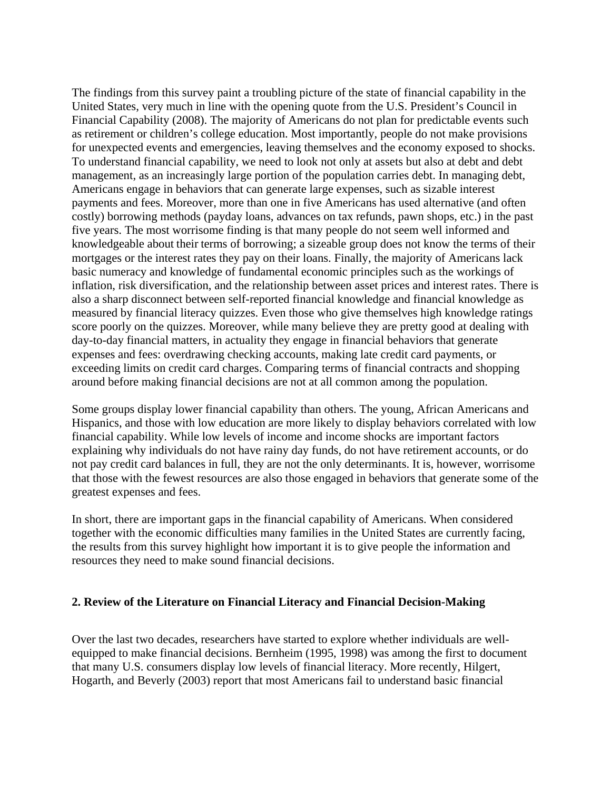The findings from this survey paint a troubling picture of the state of financial capability in the United States, very much in line with the opening quote from the U.S. President's Council in Financial Capability (2008). The majority of Americans do not plan for predictable events such as retirement or children's college education. Most importantly, people do not make provisions for unexpected events and emergencies, leaving themselves and the economy exposed to shocks. To understand financial capability, we need to look not only at assets but also at debt and debt management, as an increasingly large portion of the population carries debt. In managing debt, Americans engage in behaviors that can generate large expenses, such as sizable interest payments and fees. Moreover, more than one in five Americans has used alternative (and often costly) borrowing methods (payday loans, advances on tax refunds, pawn shops, etc.) in the past five years. The most worrisome finding is that many people do not seem well informed and knowledgeable about their terms of borrowing; a sizeable group does not know the terms of their mortgages or the interest rates they pay on their loans. Finally, the majority of Americans lack basic numeracy and knowledge of fundamental economic principles such as the workings of inflation, risk diversification, and the relationship between asset prices and interest rates. There is also a sharp disconnect between self-reported financial knowledge and financial knowledge as measured by financial literacy quizzes. Even those who give themselves high knowledge ratings score poorly on the quizzes. Moreover, while many believe they are pretty good at dealing with day-to-day financial matters, in actuality they engage in financial behaviors that generate expenses and fees: overdrawing checking accounts, making late credit card payments, or exceeding limits on credit card charges. Comparing terms of financial contracts and shopping around before making financial decisions are not at all common among the population.

Some groups display lower financial capability than others. The young, African Americans and Hispanics, and those with low education are more likely to display behaviors correlated with low financial capability. While low levels of income and income shocks are important factors explaining why individuals do not have rainy day funds, do not have retirement accounts, or do not pay credit card balances in full, they are not the only determinants. It is, however, worrisome that those with the fewest resources are also those engaged in behaviors that generate some of the greatest expenses and fees.

In short, there are important gaps in the financial capability of Americans. When considered together with the economic difficulties many families in the United States are currently facing, the results from this survey highlight how important it is to give people the information and resources they need to make sound financial decisions.

### **2. Review of the Literature on Financial Literacy and Financial Decision-Making**

Over the last two decades, researchers have started to explore whether individuals are wellequipped to make financial decisions. Bernheim (1995, 1998) was among the first to document that many U.S. consumers display low levels of financial literacy. More recently, Hilgert, Hogarth, and Beverly (2003) report that most Americans fail to understand basic financial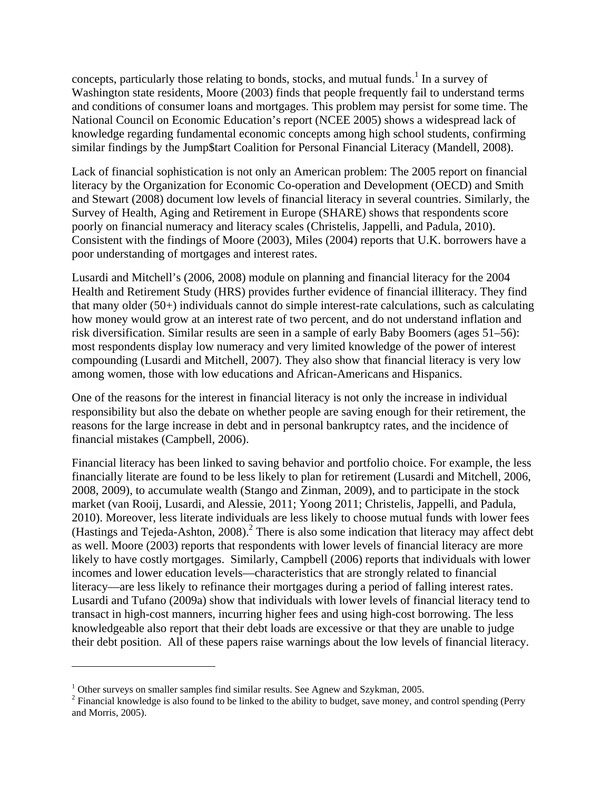concepts, particularly those relating to bonds, stocks, and mutual funds.<sup>1</sup> In a survey of Washington state residents, Moore (2003) finds that people frequently fail to understand terms and conditions of consumer loans and mortgages. This problem may persist for some time. The National Council on Economic Education's report (NCEE 2005) shows a widespread lack of knowledge regarding fundamental economic concepts among high school students, confirming similar findings by the Jump\$tart Coalition for Personal Financial Literacy (Mandell, 2008).

Lack of financial sophistication is not only an American problem: The 2005 report on financial literacy by the Organization for Economic Co-operation and Development (OECD) and Smith and Stewart (2008) document low levels of financial literacy in several countries. Similarly, the Survey of Health, Aging and Retirement in Europe (SHARE) shows that respondents score poorly on financial numeracy and literacy scales (Christelis, Jappelli, and Padula, 2010). Consistent with the findings of Moore (2003), Miles (2004) reports that U.K. borrowers have a poor understanding of mortgages and interest rates.

Lusardi and Mitchell's (2006, 2008) module on planning and financial literacy for the 2004 Health and Retirement Study (HRS) provides further evidence of financial illiteracy. They find that many older (50+) individuals cannot do simple interest-rate calculations, such as calculating how money would grow at an interest rate of two percent, and do not understand inflation and risk diversification. Similar results are seen in a sample of early Baby Boomers (ages 51–56): most respondents display low numeracy and very limited knowledge of the power of interest compounding (Lusardi and Mitchell, 2007). They also show that financial literacy is very low among women, those with low educations and African-Americans and Hispanics.

One of the reasons for the interest in financial literacy is not only the increase in individual responsibility but also the debate on whether people are saving enough for their retirement, the reasons for the large increase in debt and in personal bankruptcy rates, and the incidence of financial mistakes (Campbell, 2006).

Financial literacy has been linked to saving behavior and portfolio choice. For example, the less financially literate are found to be less likely to plan for retirement (Lusardi and Mitchell, 2006, 2008, 2009), to accumulate wealth (Stango and Zinman, 2009), and to participate in the stock market (van Rooij, Lusardi, and Alessie, 2011; Yoong 2011; Christelis, Jappelli, and Padula, 2010). Moreover, less literate individuals are less likely to choose mutual funds with lower fees (Hastings and Tejeda-Ashton, 2008). $^2$  There is also some indication that literacy may affect debt as well. Moore (2003) reports that respondents with lower levels of financial literacy are more likely to have costly mortgages. Similarly, Campbell (2006) reports that individuals with lower incomes and lower education levels—characteristics that are strongly related to financial literacy—are less likely to refinance their mortgages during a period of falling interest rates. Lusardi and Tufano (2009a) show that individuals with lower levels of financial literacy tend to transact in high-cost manners, incurring higher fees and using high-cost borrowing. The less knowledgeable also report that their debt loads are excessive or that they are unable to judge their debt position. All of these papers raise warnings about the low levels of financial literacy.

 $1$  Other surveys on smaller samples find similar results. See Agnew and Szykman, 2005.

 $2^2$  Financial knowledge is also found to be linked to the ability to budget, save money, and control spending (Perry and Morris, 2005).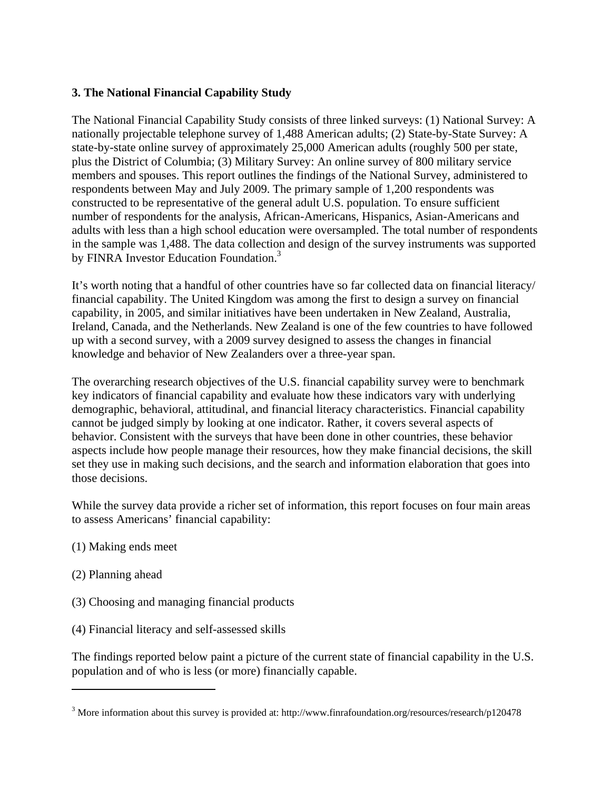# **3. The National Financial Capability Study**

The National Financial Capability Study consists of three linked surveys: (1) National Survey: A nationally projectable telephone survey of 1,488 American adults; (2) State-by-State Survey: A state-by-state online survey of approximately 25,000 American adults (roughly 500 per state, plus the District of Columbia; (3) Military Survey: An online survey of 800 military service members and spouses. This report outlines the findings of the National Survey, administered to respondents between May and July 2009. The primary sample of 1,200 respondents was constructed to be representative of the general adult U.S. population. To ensure sufficient number of respondents for the analysis, African-Americans, Hispanics, Asian-Americans and adults with less than a high school education were oversampled. The total number of respondents in the sample was 1,488. The data collection and design of the survey instruments was supported by FINRA Investor Education Foundation.<sup>3</sup>

It's worth noting that a handful of other countries have so far collected data on financial literacy/ financial capability. The United Kingdom was among the first to design a survey on financial capability, in 2005, and similar initiatives have been undertaken in New Zealand, Australia, Ireland, Canada, and the Netherlands. New Zealand is one of the few countries to have followed up with a second survey, with a 2009 survey designed to assess the changes in financial knowledge and behavior of New Zealanders over a three-year span.

The overarching research objectives of the U.S. financial capability survey were to benchmark key indicators of financial capability and evaluate how these indicators vary with underlying demographic, behavioral, attitudinal, and financial literacy characteristics. Financial capability cannot be judged simply by looking at one indicator. Rather, it covers several aspects of behavior. Consistent with the surveys that have been done in other countries, these behavior aspects include how people manage their resources, how they make financial decisions, the skill set they use in making such decisions, and the search and information elaboration that goes into those decisions.

While the survey data provide a richer set of information, this report focuses on four main areas to assess Americans' financial capability:

- (1) Making ends meet
- (2) Planning ahead
- (3) Choosing and managing financial products
- (4) Financial literacy and self-assessed skills

The findings reported below paint a picture of the current state of financial capability in the U.S. population and of who is less (or more) financially capable.

<sup>&</sup>lt;sup>3</sup> More information about this survey is provided at: http://www.finrafoundation.org/resources/research/p120478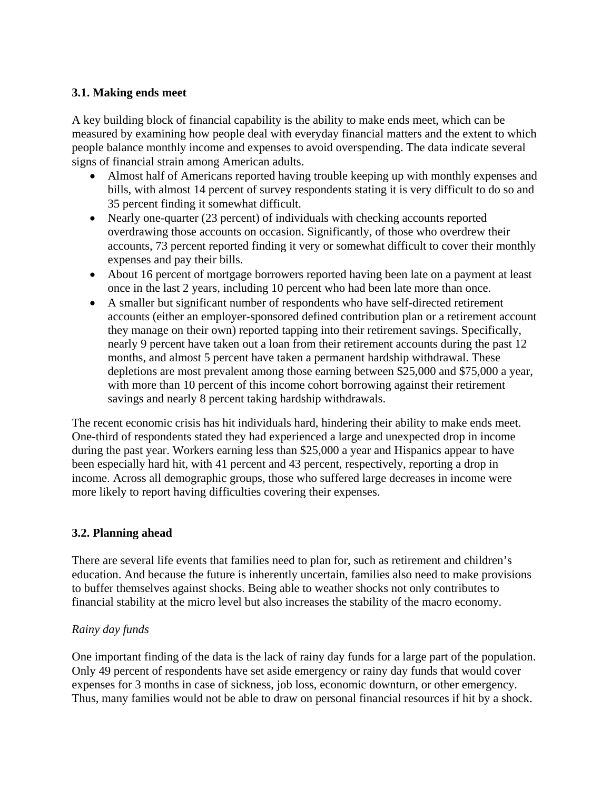## **3.1. Making ends meet**

A key building block of financial capability is the ability to make ends meet, which can be measured by examining how people deal with everyday financial matters and the extent to which people balance monthly income and expenses to avoid overspending. The data indicate several signs of financial strain among American adults.

- Almost half of Americans reported having trouble keeping up with monthly expenses and bills, with almost 14 percent of survey respondents stating it is very difficult to do so and 35 percent finding it somewhat difficult.
- Nearly one-quarter (23 percent) of individuals with checking accounts reported overdrawing those accounts on occasion. Significantly, of those who overdrew their accounts, 73 percent reported finding it very or somewhat difficult to cover their monthly expenses and pay their bills.
- About 16 percent of mortgage borrowers reported having been late on a payment at least once in the last 2 years, including 10 percent who had been late more than once.
- A smaller but significant number of respondents who have self-directed retirement accounts (either an employer-sponsored defined contribution plan or a retirement account they manage on their own) reported tapping into their retirement savings. Specifically, nearly 9 percent have taken out a loan from their retirement accounts during the past 12 months, and almost 5 percent have taken a permanent hardship withdrawal. These depletions are most prevalent among those earning between \$25,000 and \$75,000 a year, with more than 10 percent of this income cohort borrowing against their retirement savings and nearly 8 percent taking hardship withdrawals.

The recent economic crisis has hit individuals hard, hindering their ability to make ends meet. One-third of respondents stated they had experienced a large and unexpected drop in income during the past year. Workers earning less than \$25,000 a year and Hispanics appear to have been especially hard hit, with 41 percent and 43 percent, respectively, reporting a drop in income. Across all demographic groups, those who suffered large decreases in income were more likely to report having difficulties covering their expenses.

# **3.2. Planning ahead**

There are several life events that families need to plan for, such as retirement and children's education. And because the future is inherently uncertain, families also need to make provisions to buffer themselves against shocks. Being able to weather shocks not only contributes to financial stability at the micro level but also increases the stability of the macro economy.

### *Rainy day funds*

One important finding of the data is the lack of rainy day funds for a large part of the population. Only 49 percent of respondents have set aside emergency or rainy day funds that would cover expenses for 3 months in case of sickness, job loss, economic downturn, or other emergency. Thus, many families would not be able to draw on personal financial resources if hit by a shock.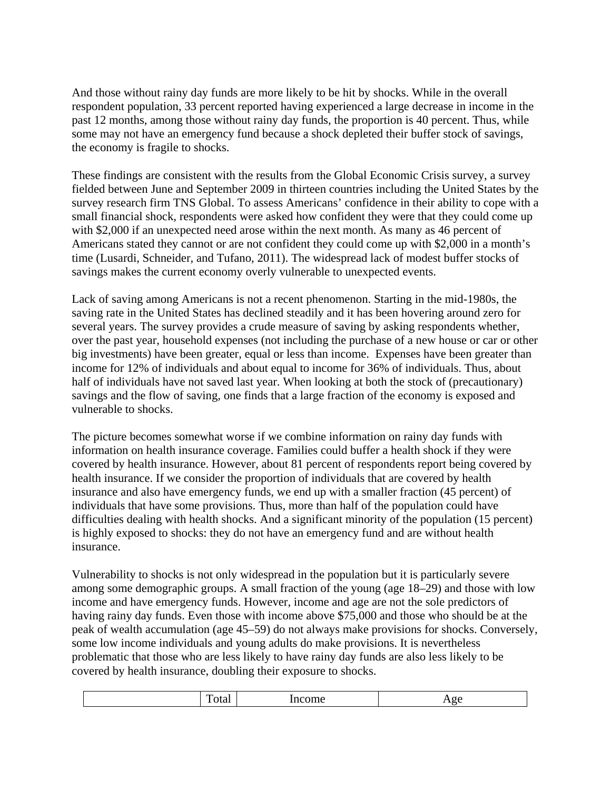And those without rainy day funds are more likely to be hit by shocks. While in the overall respondent population, 33 percent reported having experienced a large decrease in income in the past 12 months, among those without rainy day funds, the proportion is 40 percent. Thus, while some may not have an emergency fund because a shock depleted their buffer stock of savings, the economy is fragile to shocks.

These findings are consistent with the results from the Global Economic Crisis survey, a survey fielded between June and September 2009 in thirteen countries including the United States by the survey research firm TNS Global. To assess Americans' confidence in their ability to cope with a small financial shock, respondents were asked how confident they were that they could come up with \$2,000 if an unexpected need arose within the next month. As many as 46 percent of Americans stated they cannot or are not confident they could come up with \$2,000 in a month's time (Lusardi, Schneider, and Tufano, 2011). The widespread lack of modest buffer stocks of savings makes the current economy overly vulnerable to unexpected events.

Lack of saving among Americans is not a recent phenomenon. Starting in the mid-1980s, the saving rate in the United States has declined steadily and it has been hovering around zero for several years. The survey provides a crude measure of saving by asking respondents whether, over the past year, household expenses (not including the purchase of a new house or car or other big investments) have been greater, equal or less than income. Expenses have been greater than income for 12% of individuals and about equal to income for 36% of individuals. Thus, about half of individuals have not saved last year. When looking at both the stock of (precautionary) savings and the flow of saving, one finds that a large fraction of the economy is exposed and vulnerable to shocks.

The picture becomes somewhat worse if we combine information on rainy day funds with information on health insurance coverage. Families could buffer a health shock if they were covered by health insurance. However, about 81 percent of respondents report being covered by health insurance. If we consider the proportion of individuals that are covered by health insurance and also have emergency funds, we end up with a smaller fraction (45 percent) of individuals that have some provisions. Thus, more than half of the population could have difficulties dealing with health shocks. And a significant minority of the population (15 percent) is highly exposed to shocks: they do not have an emergency fund and are without health insurance.

Vulnerability to shocks is not only widespread in the population but it is particularly severe among some demographic groups. A small fraction of the young (age 18–29) and those with low income and have emergency funds. However, income and age are not the sole predictors of having rainy day funds. Even those with income above \$75,000 and those who should be at the peak of wealth accumulation (age 45–59) do not always make provisions for shocks. Conversely, some low income individuals and young adults do make provisions. It is nevertheless problematic that those who are less likely to have rainy day funds are also less likely to be covered by health insurance, doubling their exposure to shocks.

|--|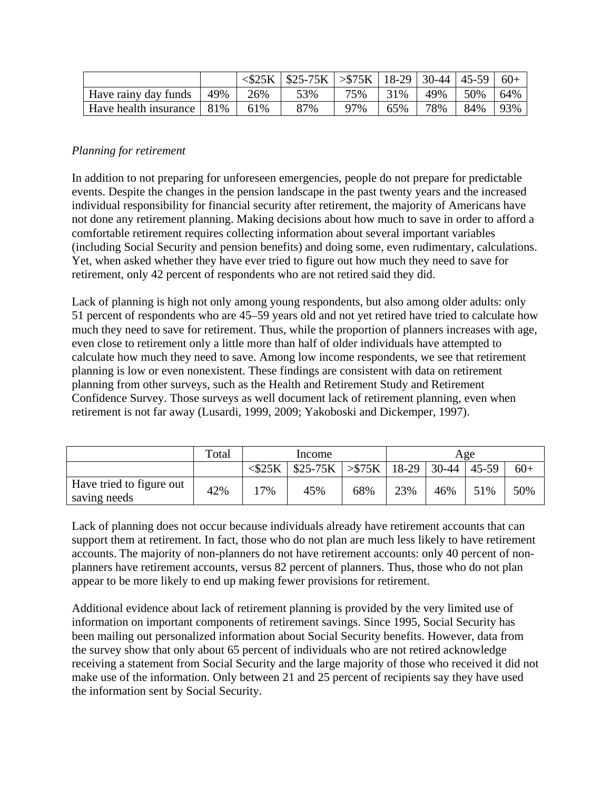|                                   |     | $<$ \$25K | $ $ \$25-75K $ $ >\$75K $ $ 18-29 $ $ 30-44 $ $ 45-59 |     |     |     |     | $60+$ |
|-----------------------------------|-----|-----------|-------------------------------------------------------|-----|-----|-----|-----|-------|
| Have rainy day funds              | 49% | 26%       | 53%                                                   | 75% | 31% | 49% | 50% | 64%   |
| Have health insurance $\vert$ 81% |     | 61%       | 87%                                                   | 97% | 65% | 78% | 84% | 93%   |

## *Planning for retirement*

In addition to not preparing for unforeseen emergencies, people do not prepare for predictable events. Despite the changes in the pension landscape in the past twenty years and the increased individual responsibility for financial security after retirement, the majority of Americans have not done any retirement planning. Making decisions about how much to save in order to afford a comfortable retirement requires collecting information about several important variables (including Social Security and pension benefits) and doing some, even rudimentary, calculations. Yet, when asked whether they have ever tried to figure out how much they need to save for retirement, only 42 percent of respondents who are not retired said they did.

Lack of planning is high not only among young respondents, but also among older adults: only 51 percent of respondents who are 45–59 years old and not yet retired have tried to calculate how much they need to save for retirement. Thus, while the proportion of planners increases with age, even close to retirement only a little more than half of older individuals have attempted to calculate how much they need to save. Among low income respondents, we see that retirement planning is low or even nonexistent. These findings are consistent with data on retirement planning from other surveys, such as the Health and Retirement Study and Retirement Confidence Survey. Those surveys as well document lack of retirement planning, even when retirement is not far away (Lusardi, 1999, 2009; Yakoboski and Dickemper, 1997).

|                                          | Total | Income       |                                       |     | Age |     |       |       |
|------------------------------------------|-------|--------------|---------------------------------------|-----|-----|-----|-------|-------|
|                                          |       | $<$ \$25 $K$ | $$25-75K$ $>>$ $$75K$   18-29   30-44 |     |     |     | 45-59 | $60+$ |
| Have tried to figure out<br>saving needs | 42%   | $7\%$        | 45%                                   | 68% | 23% | 46% | 51%   | 50%   |

Lack of planning does not occur because individuals already have retirement accounts that can support them at retirement. In fact, those who do not plan are much less likely to have retirement accounts. The majority of non-planners do not have retirement accounts: only 40 percent of nonplanners have retirement accounts, versus 82 percent of planners. Thus, those who do not plan appear to be more likely to end up making fewer provisions for retirement.

Additional evidence about lack of retirement planning is provided by the very limited use of information on important components of retirement savings. Since 1995, Social Security has been mailing out personalized information about Social Security benefits. However, data from the survey show that only about 65 percent of individuals who are not retired acknowledge receiving a statement from Social Security and the large majority of those who received it did not make use of the information. Only between 21 and 25 percent of recipients say they have used the information sent by Social Security.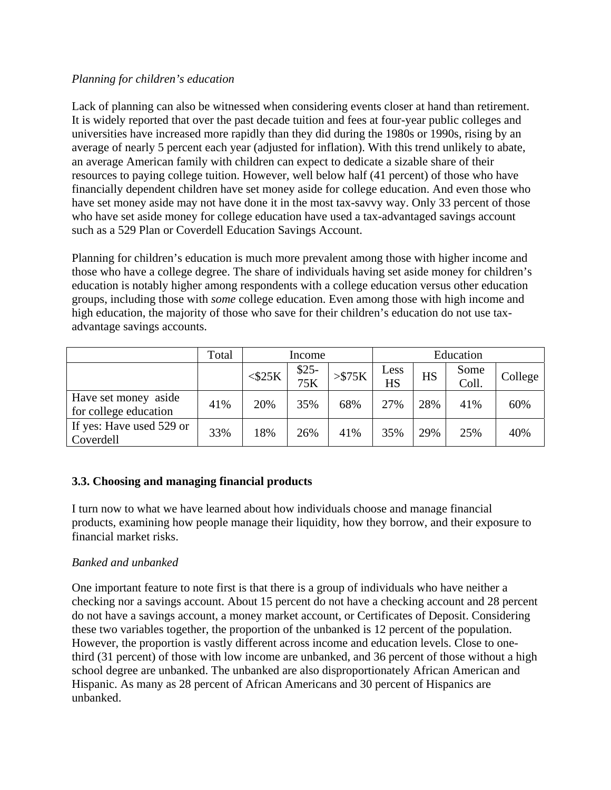## *Planning for children's education*

Lack of planning can also be witnessed when considering events closer at hand than retirement. It is widely reported that over the past decade tuition and fees at four-year public colleges and universities have increased more rapidly than they did during the 1980s or 1990s, rising by an average of nearly 5 percent each year (adjusted for inflation). With this trend unlikely to abate, an average American family with children can expect to dedicate a sizable share of their resources to paying college tuition. However, well below half (41 percent) of those who have financially dependent children have set money aside for college education. And even those who have set money aside may not have done it in the most tax-savvy way. Only 33 percent of those who have set aside money for college education have used a tax-advantaged savings account such as a 529 Plan or Coverdell Education Savings Account.

Planning for children's education is much more prevalent among those with higher income and those who have a college degree. The share of individuals having set aside money for children's education is notably higher among respondents with a college education versus other education groups, including those with *some* college education. Even among those with high income and high education, the majority of those who save for their children's education do not use taxadvantage savings accounts.

|                                               | Total | Income       |               |                   | Education         |           |               |         |
|-----------------------------------------------|-------|--------------|---------------|-------------------|-------------------|-----------|---------------|---------|
|                                               |       | $<$ \$25 $K$ | $$25-$<br>75K | $>\frac{575K}{2}$ | Less<br><b>HS</b> | <b>HS</b> | Some<br>Coll. | College |
| Have set money aside<br>for college education | 41%   | 20%          | 35%           | 68%               | 27%               | 28%       | 41%           | 60%     |
| If yes: Have used 529 or<br>Coverdell         | 33%   | 18%          | 26%           | 41%               | 35%               | 29%       | 25%           | 40%     |

# **3.3. Choosing and managing financial products**

I turn now to what we have learned about how individuals choose and manage financial products, examining how people manage their liquidity, how they borrow, and their exposure to financial market risks.

# *Banked and unbanked*

One important feature to note first is that there is a group of individuals who have neither a checking nor a savings account. About 15 percent do not have a checking account and 28 percent do not have a savings account, a money market account, or Certificates of Deposit. Considering these two variables together, the proportion of the unbanked is 12 percent of the population. However, the proportion is vastly different across income and education levels. Close to onethird (31 percent) of those with low income are unbanked, and 36 percent of those without a high school degree are unbanked. The unbanked are also disproportionately African American and Hispanic. As many as 28 percent of African Americans and 30 percent of Hispanics are unbanked.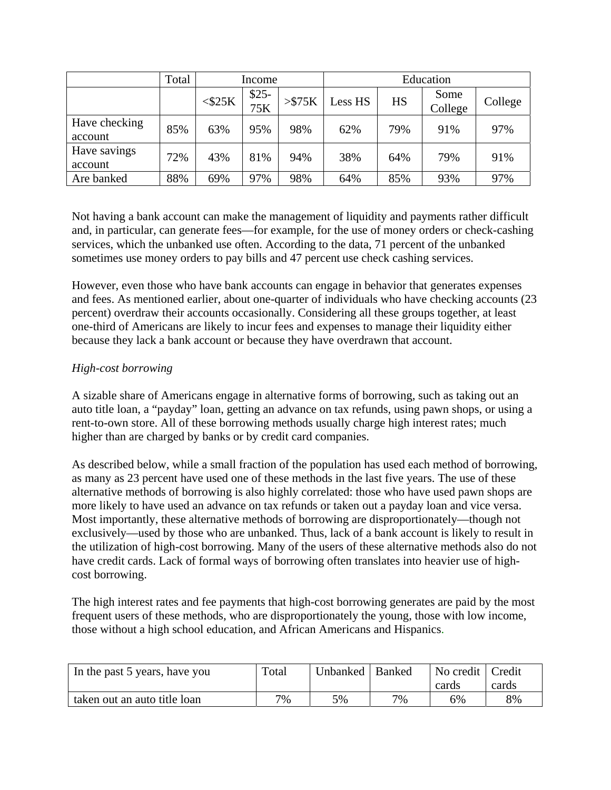|                          | Total |              | Income        |              |         | Education |                 |         |  |
|--------------------------|-------|--------------|---------------|--------------|---------|-----------|-----------------|---------|--|
|                          |       | $<$ \$25 $K$ | $$25-$<br>75K | $>$ \$75 $K$ | Less HS | <b>HS</b> | Some<br>College | College |  |
| Have checking<br>account | 85%   | 63%          | 95%           | 98%          | 62%     | 79%       | 91%             | 97%     |  |
| Have savings<br>account  | 72%   | 43%          | 81%           | 94%          | 38%     | 64%       | 79%             | 91%     |  |
| Are banked               | 88%   | 69%          | 97%           | 98%          | 64%     | 85%       | 93%             | 97%     |  |

Not having a bank account can make the management of liquidity and payments rather difficult and, in particular, can generate fees—for example, for the use of money orders or check-cashing services, which the unbanked use often. According to the data, 71 percent of the unbanked sometimes use money orders to pay bills and 47 percent use check cashing services.

However, even those who have bank accounts can engage in behavior that generates expenses and fees. As mentioned earlier, about one-quarter of individuals who have checking accounts (23 percent) overdraw their accounts occasionally. Considering all these groups together, at least one-third of Americans are likely to incur fees and expenses to manage their liquidity either because they lack a bank account or because they have overdrawn that account.

# *High-cost borrowing*

A sizable share of Americans engage in alternative forms of borrowing, such as taking out an auto title loan, a "payday" loan, getting an advance on tax refunds, using pawn shops, or using a rent-to-own store. All of these borrowing methods usually charge high interest rates; much higher than are charged by banks or by credit card companies.

As described below, while a small fraction of the population has used each method of borrowing, as many as 23 percent have used one of these methods in the last five years. The use of these alternative methods of borrowing is also highly correlated: those who have used pawn shops are more likely to have used an advance on tax refunds or taken out a payday loan and vice versa. Most importantly, these alternative methods of borrowing are disproportionately—though not exclusively—used by those who are unbanked. Thus, lack of a bank account is likely to result in the utilization of high-cost borrowing. Many of the users of these alternative methods also do not have credit cards. Lack of formal ways of borrowing often translates into heavier use of highcost borrowing.

The high interest rates and fee payments that high-cost borrowing generates are paid by the most frequent users of these methods, who are disproportionately the young, those with low income, those without a high school education, and African Americans and Hispanics.

| In the past 5 years, have you | Total | Unbanked   Banked |    | No credit   Credit |       |
|-------------------------------|-------|-------------------|----|--------------------|-------|
|                               |       |                   |    | cards              | cards |
| taken out an auto title loan  | 7%    | 5%                | 7% | 5%                 | 8%    |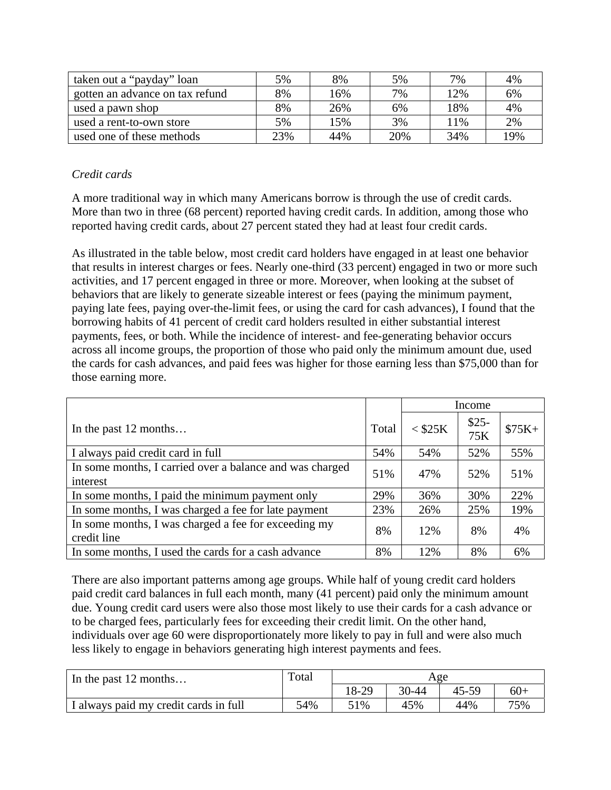| taken out a "payday" loan       | 5%  | 8%  | 5%  | 7%  | 4%  |
|---------------------------------|-----|-----|-----|-----|-----|
| gotten an advance on tax refund | 8%  | 16% | 7%  | 12% | 6%  |
| used a pawn shop                | 8%  | 26% | 6%  | 18% | 4%  |
| used a rent-to-own store        | 5%  | 15% | 3%  | 1%  | 2%  |
| used one of these methods       | 23% | 44% | 20% | 34% | 19% |

# *Credit cards*

A more traditional way in which many Americans borrow is through the use of credit cards. More than two in three (68 percent) reported having credit cards. In addition, among those who reported having credit cards, about 27 percent stated they had at least four credit cards.

As illustrated in the table below, most credit card holders have engaged in at least one behavior that results in interest charges or fees. Nearly one-third (33 percent) engaged in two or more such activities, and 17 percent engaged in three or more. Moreover, when looking at the subset of behaviors that are likely to generate sizeable interest or fees (paying the minimum payment, paying late fees, paying over-the-limit fees, or using the card for cash advances), I found that the borrowing habits of 41 percent of credit card holders resulted in either substantial interest payments, fees, or both. While the incidence of interest- and fee-generating behavior occurs across all income groups, the proportion of those who paid only the minimum amount due, used the cards for cash advances, and paid fees was higher for those earning less than \$75,000 than for those earning more.

|                                                                      |       | Income    |               |         |
|----------------------------------------------------------------------|-------|-----------|---------------|---------|
| In the past $12$ months                                              | Total | $<$ \$25K | $$25-$<br>75K | $$75K+$ |
| I always paid credit card in full                                    | 54%   | 54%       | 52%           | 55%     |
| In some months, I carried over a balance and was charged<br>interest | 51%   | 47%       | 52%           | 51%     |
| In some months, I paid the minimum payment only                      | 29%   | 36%       | 30%           | 22%     |
| In some months, I was charged a fee for late payment                 | 23%   | 26%       | 25%           | 19%     |
| In some months, I was charged a fee for exceeding my<br>credit line  | 8%    | 12%       | 8%            | 4%      |
| In some months, I used the cards for a cash advance                  | 8%    | 12%       | 8%            | 6%      |

There are also important patterns among age groups. While half of young credit card holders paid credit card balances in full each month, many (41 percent) paid only the minimum amount due. Young credit card users were also those most likely to use their cards for a cash advance or to be charged fees, particularly fees for exceeding their credit limit. On the other hand, individuals over age 60 were disproportionately more likely to pay in full and were also much less likely to engage in behaviors generating high interest payments and fees.

| In the past 12 months                 | Total | Age   |       |       |       |
|---------------------------------------|-------|-------|-------|-------|-------|
|                                       |       | 18-29 | 30-44 | 45-59 | $60+$ |
| I always paid my credit cards in full | 54%   | 51%   | 45%   | 44%   | 75%   |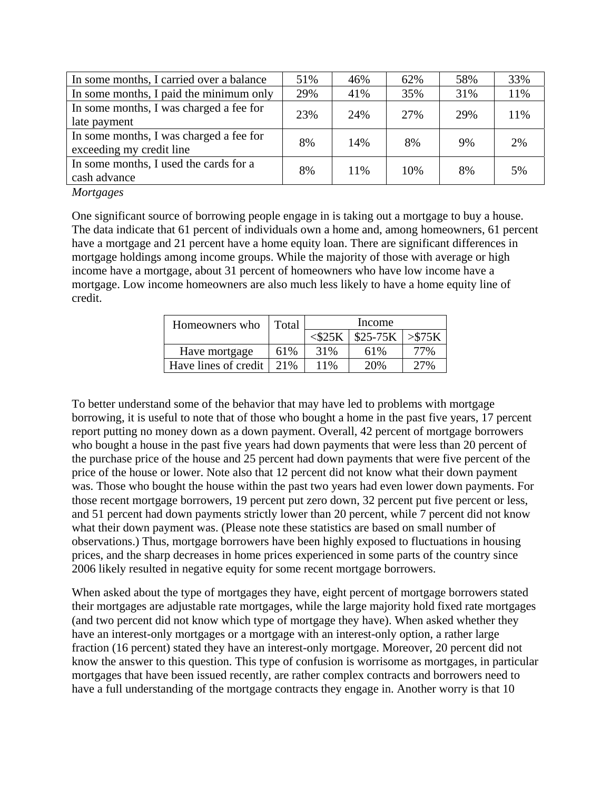| In some months, I carried over a balance                            | 51% | 46% | 62% | 58% | 33% |
|---------------------------------------------------------------------|-----|-----|-----|-----|-----|
| In some months, I paid the minimum only                             | 29% | 41% | 35% | 31% | 11% |
| In some months, I was charged a fee for<br>late payment             | 23% | 24% | 27% | 29% | 11% |
| In some months, I was charged a fee for<br>exceeding my credit line | 8%  | 14% | 8%  | 9%  | 2%  |
| In some months, I used the cards for a<br>cash advance              | 8%  | 11% | 10% | 8%  | 5%  |

*Mortgages* 

One significant source of borrowing people engage in is taking out a mortgage to buy a house. The data indicate that 61 percent of individuals own a home and, among homeowners, 61 percent have a mortgage and 21 percent have a home equity loan. There are significant differences in mortgage holdings among income groups. While the majority of those with average or high income have a mortgage, about 31 percent of homeowners who have low income have a mortgage. Low income homeowners are also much less likely to have a home equity line of credit.

| Homeowners who       | Total | Income       |           |           |  |  |
|----------------------|-------|--------------|-----------|-----------|--|--|
|                      |       | $<$ \$25 $K$ | $$25-75K$ | $>$ \$75K |  |  |
| Have mortgage        | 61%   | 31%          | 61%       | 77%       |  |  |
| Have lines of credit | 2.1%  | 11%          | 20%       | 27%       |  |  |

To better understand some of the behavior that may have led to problems with mortgage borrowing, it is useful to note that of those who bought a home in the past five years, 17 percent report putting no money down as a down payment. Overall, 42 percent of mortgage borrowers who bought a house in the past five years had down payments that were less than 20 percent of the purchase price of the house and 25 percent had down payments that were five percent of the price of the house or lower. Note also that 12 percent did not know what their down payment was. Those who bought the house within the past two years had even lower down payments. For those recent mortgage borrowers, 19 percent put zero down, 32 percent put five percent or less, and 51 percent had down payments strictly lower than 20 percent, while 7 percent did not know what their down payment was. (Please note these statistics are based on small number of observations.) Thus, mortgage borrowers have been highly exposed to fluctuations in housing prices, and the sharp decreases in home prices experienced in some parts of the country since 2006 likely resulted in negative equity for some recent mortgage borrowers.

When asked about the type of mortgages they have, eight percent of mortgage borrowers stated their mortgages are adjustable rate mortgages, while the large majority hold fixed rate mortgages (and two percent did not know which type of mortgage they have). When asked whether they have an interest-only mortgages or a mortgage with an interest-only option, a rather large fraction (16 percent) stated they have an interest-only mortgage. Moreover, 20 percent did not know the answer to this question. This type of confusion is worrisome as mortgages, in particular mortgages that have been issued recently, are rather complex contracts and borrowers need to have a full understanding of the mortgage contracts they engage in. Another worry is that 10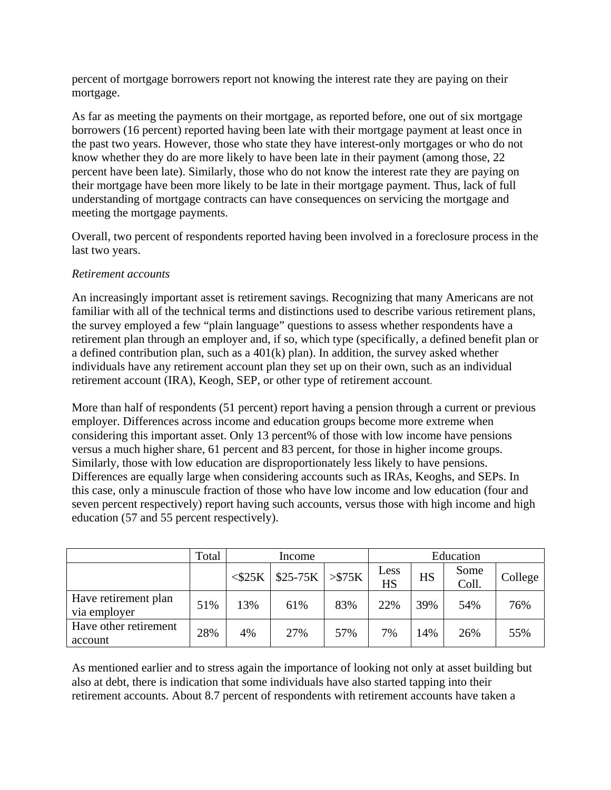percent of mortgage borrowers report not knowing the interest rate they are paying on their mortgage.

As far as meeting the payments on their mortgage, as reported before, one out of six mortgage borrowers (16 percent) reported having been late with their mortgage payment at least once in the past two years. However, those who state they have interest-only mortgages or who do not know whether they do are more likely to have been late in their payment (among those, 22 percent have been late). Similarly, those who do not know the interest rate they are paying on their mortgage have been more likely to be late in their mortgage payment. Thus, lack of full understanding of mortgage contracts can have consequences on servicing the mortgage and meeting the mortgage payments.

Overall, two percent of respondents reported having been involved in a foreclosure process in the last two years.

## *Retirement accounts*

An increasingly important asset is retirement savings. Recognizing that many Americans are not familiar with all of the technical terms and distinctions used to describe various retirement plans, the survey employed a few "plain language" questions to assess whether respondents have a retirement plan through an employer and, if so, which type (specifically, a defined benefit plan or a defined contribution plan, such as a 401(k) plan). In addition, the survey asked whether individuals have any retirement account plan they set up on their own, such as an individual retirement account (IRA), Keogh, SEP, or other type of retirement account.

More than half of respondents (51 percent) report having a pension through a current or previous employer. Differences across income and education groups become more extreme when considering this important asset. Only 13 percent% of those with low income have pensions versus a much higher share, 61 percent and 83 percent, for those in higher income groups. Similarly, those with low education are disproportionately less likely to have pensions. Differences are equally large when considering accounts such as IRAs, Keoghs, and SEPs. In this case, only a minuscule fraction of those who have low income and low education (four and seven percent respectively) report having such accounts, versus those with high income and high education (57 and 55 percent respectively).

|                                      | Total | Income       |           |         | Education  |     |               |         |
|--------------------------------------|-------|--------------|-----------|---------|------------|-----|---------------|---------|
|                                      |       | $<$ \$25 $K$ | $$25-75K$ | > \$75K | Less<br>HS | HS  | Some<br>Coll. | College |
| Have retirement plan<br>via employer | 51%   | 13%          | 61%       | 83%     | 22%        | 39% | 54%           | 76%     |
| Have other retirement<br>account     | 28%   | 4%           | 27%       | 57%     | 7%         | 14% | 26%           | 55%     |

As mentioned earlier and to stress again the importance of looking not only at asset building but also at debt, there is indication that some individuals have also started tapping into their retirement accounts. About 8.7 percent of respondents with retirement accounts have taken a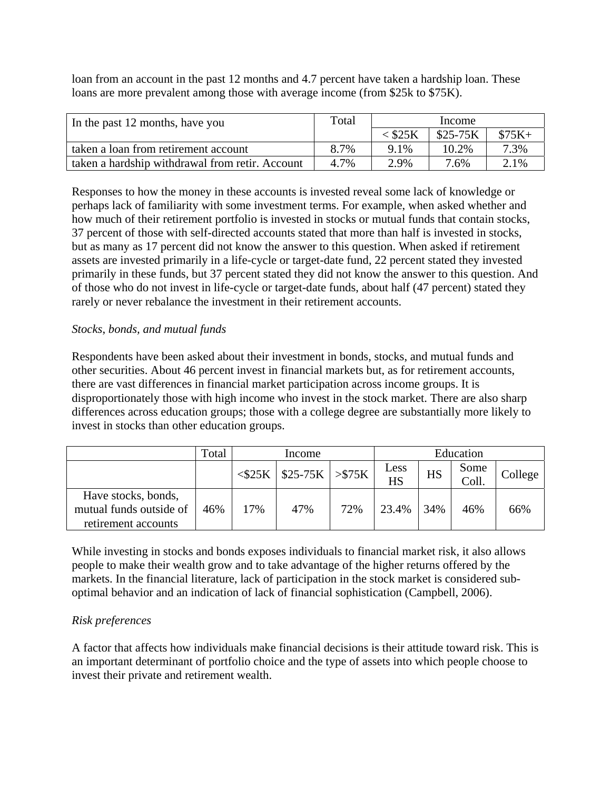loan from an account in the past 12 months and 4.7 percent have taken a hardship loan. These loans are more prevalent among those with average income (from \$25k to \$75K).

| In the past 12 months, have you                 | Total | Income    |           |         |  |
|-------------------------------------------------|-------|-----------|-----------|---------|--|
|                                                 |       | $<$ \$25K | $$25-75K$ | $$75K+$ |  |
| taken a loan from retirement account            | 8.7%  | $9.1\%$   | 10.2%     | 7.3%    |  |
| taken a hardship withdrawal from retir. Account | 4.7%  | 2.9%      | 7.6%      | 2.1%    |  |

Responses to how the money in these accounts is invested reveal some lack of knowledge or perhaps lack of familiarity with some investment terms. For example, when asked whether and how much of their retirement portfolio is invested in stocks or mutual funds that contain stocks, 37 percent of those with self-directed accounts stated that more than half is invested in stocks, but as many as 17 percent did not know the answer to this question. When asked if retirement assets are invested primarily in a life-cycle or target-date fund, 22 percent stated they invested primarily in these funds, but 37 percent stated they did not know the answer to this question. And of those who do not invest in life-cycle or target-date funds, about half (47 percent) stated they rarely or never rebalance the investment in their retirement accounts.

## *Stocks*, *bonds, and mutual funds*

Respondents have been asked about their investment in bonds, stocks, and mutual funds and other securities. About 46 percent invest in financial markets but, as for retirement accounts, there are vast differences in financial market participation across income groups. It is disproportionately those with high income who invest in the stock market. There are also sharp differences across education groups; those with a college degree are substantially more likely to invest in stocks than other education groups.

|                                                                       | Total | Income    |                    |     |                   |     | Education     |         |
|-----------------------------------------------------------------------|-------|-----------|--------------------|-----|-------------------|-----|---------------|---------|
|                                                                       |       | $<$ \$25K | $$25-75K$ > $$75K$ |     | Less<br><b>HS</b> | HS  | Some<br>Coll. | College |
| Have stocks, bonds,<br>mutual funds outside of<br>retirement accounts | 46%   | 17%       | 47%                | 72% | 23.4%             | 34% | 46%           | 66%     |

While investing in stocks and bonds exposes individuals to financial market risk, it also allows people to make their wealth grow and to take advantage of the higher returns offered by the markets. In the financial literature, lack of participation in the stock market is considered suboptimal behavior and an indication of lack of financial sophistication (Campbell, 2006).

### *Risk preferences*

A factor that affects how individuals make financial decisions is their attitude toward risk. This is an important determinant of portfolio choice and the type of assets into which people choose to invest their private and retirement wealth.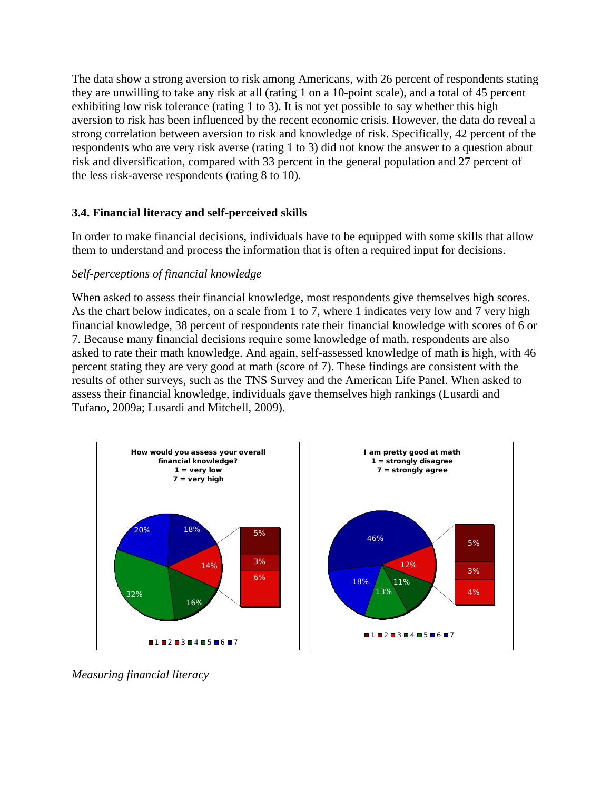The data show a strong aversion to risk among Americans, with 26 percent of respondents stating they are unwilling to take any risk at all (rating 1 on a 10-point scale), and a total of 45 percent exhibiting low risk tolerance (rating 1 to 3). It is not yet possible to say whether this high aversion to risk has been influenced by the recent economic crisis. However, the data do reveal a strong correlation between aversion to risk and knowledge of risk. Specifically, 42 percent of the respondents who are very risk averse (rating 1 to 3) did not know the answer to a question about risk and diversification, compared with 33 percent in the general population and 27 percent of the less risk-averse respondents (rating 8 to 10).

## **3.4. Financial literacy and self-perceived skills**

In order to make financial decisions, individuals have to be equipped with some skills that allow them to understand and process the information that is often a required input for decisions.

## *Self-perceptions of financial knowledge*

When asked to assess their financial knowledge, most respondents give themselves high scores. As the chart below indicates, on a scale from 1 to 7, where 1 indicates very low and 7 very high financial knowledge, 38 percent of respondents rate their financial knowledge with scores of 6 or 7. Because many financial decisions require some knowledge of math, respondents are also asked to rate their math knowledge. And again, self-assessed knowledge of math is high, with 46 percent stating they are very good at math (score of 7). These findings are consistent with the results of other surveys, such as the TNS Survey and the American Life Panel. When asked to assess their financial knowledge, individuals gave themselves high rankings (Lusardi and Tufano, 2009a; Lusardi and Mitchell, 2009).



*Measuring financial literacy*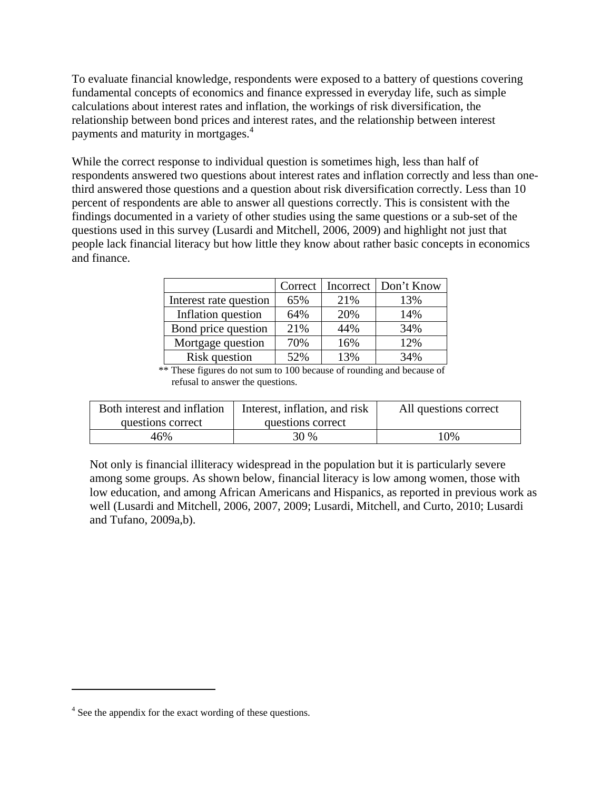To evaluate financial knowledge, respondents were exposed to a battery of questions covering fundamental concepts of economics and finance expressed in everyday life, such as simple calculations about interest rates and inflation, the workings of risk diversification, the relationship between bond prices and interest rates, and the relationship between interest payments and maturity in mortgages.<sup>4</sup>

While the correct response to individual question is sometimes high, less than half of respondents answered two questions about interest rates and inflation correctly and less than onethird answered those questions and a question about risk diversification correctly. Less than 10 percent of respondents are able to answer all questions correctly. This is consistent with the findings documented in a variety of other studies using the same questions or a sub-set of the questions used in this survey (Lusardi and Mitchell, 2006, 2009) and highlight not just that people lack financial literacy but how little they know about rather basic concepts in economics and finance.

|                        | Correct | Incorrect | Don't Know |
|------------------------|---------|-----------|------------|
| Interest rate question | 65%     | 21%       | 13%        |
| Inflation question     | 64%     | 20%       | 14%        |
| Bond price question    | 21%     | 44%       | 34%        |
| Mortgage question      | 70%     | 16%       | 12%        |
| Risk question          | 52%     | 13%       | 34%        |

\*\* These figures do not sum to 100 because of rounding and because of refusal to answer the questions.

| Both interest and inflation | Interest, inflation, and risk | All questions correct |
|-----------------------------|-------------------------------|-----------------------|
| questions correct           | questions correct             |                       |
| 46%                         | 30 %                          | 10%                   |

Not only is financial illiteracy widespread in the population but it is particularly severe among some groups. As shown below, financial literacy is low among women, those with low education, and among African Americans and Hispanics, as reported in previous work as well (Lusardi and Mitchell, 2006, 2007, 2009; Lusardi, Mitchell, and Curto, 2010; Lusardi and Tufano, 2009a,b).

<sup>&</sup>lt;sup>4</sup> See the appendix for the exact wording of these questions.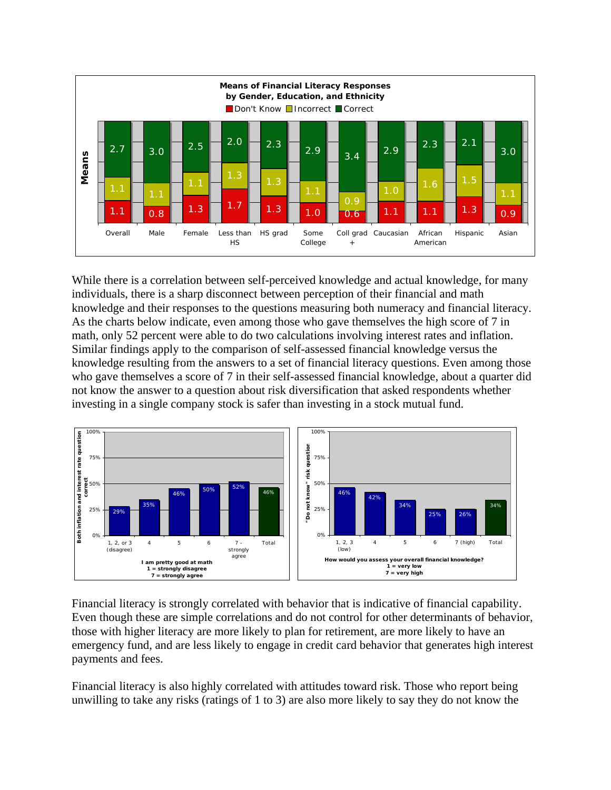

While there is a correlation between self-perceived knowledge and actual knowledge, for many individuals, there is a sharp disconnect between perception of their financial and math knowledge and their responses to the questions measuring both numeracy and financial literacy. As the charts below indicate, even among those who gave themselves the high score of 7 in math, only 52 percent were able to do two calculations involving interest rates and inflation. Similar findings apply to the comparison of self-assessed financial knowledge versus the knowledge resulting from the answers to a set of financial literacy questions. Even among those who gave themselves a score of 7 in their self-assessed financial knowledge, about a quarter did not know the answer to a question about risk diversification that asked respondents whether investing in a single company stock is safer than investing in a stock mutual fund.



Financial literacy is strongly correlated with behavior that is indicative of financial capability. Even though these are simple correlations and do not control for other determinants of behavior, those with higher literacy are more likely to plan for retirement, are more likely to have an emergency fund, and are less likely to engage in credit card behavior that generates high interest payments and fees.

Financial literacy is also highly correlated with attitudes toward risk. Those who report being unwilling to take any risks (ratings of 1 to 3) are also more likely to say they do not know the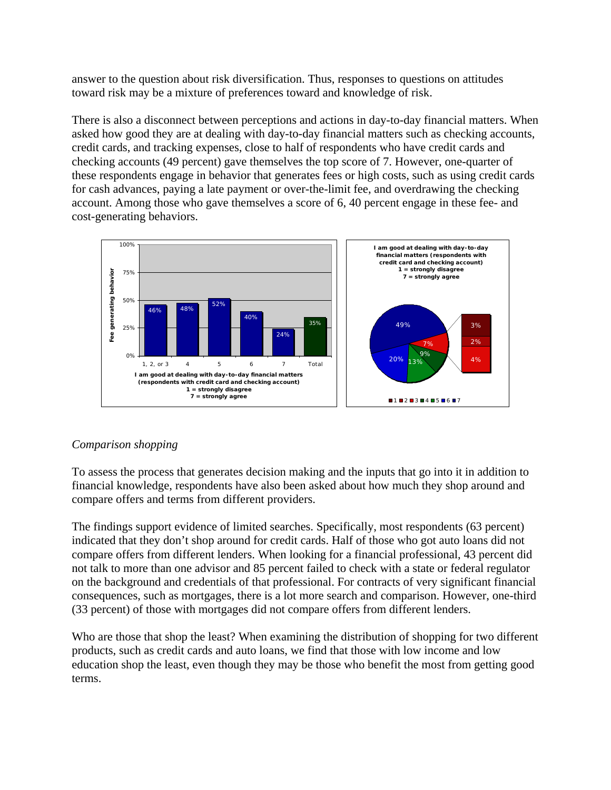answer to the question about risk diversification. Thus, responses to questions on attitudes toward risk may be a mixture of preferences toward and knowledge of risk.

There is also a disconnect between perceptions and actions in day-to-day financial matters. When asked how good they are at dealing with day-to-day financial matters such as checking accounts, credit cards, and tracking expenses, close to half of respondents who have credit cards and checking accounts (49 percent) gave themselves the top score of 7. However, one-quarter of these respondents engage in behavior that generates fees or high costs, such as using credit cards for cash advances, paying a late payment or over-the-limit fee, and overdrawing the checking account. Among those who gave themselves a score of 6, 40 percent engage in these fee- and cost-generating behaviors.



# *Comparison shopping*

To assess the process that generates decision making and the inputs that go into it in addition to financial knowledge, respondents have also been asked about how much they shop around and compare offers and terms from different providers.

The findings support evidence of limited searches. Specifically, most respondents (63 percent) indicated that they don't shop around for credit cards. Half of those who got auto loans did not compare offers from different lenders. When looking for a financial professional, 43 percent did not talk to more than one advisor and 85 percent failed to check with a state or federal regulator on the background and credentials of that professional. For contracts of very significant financial consequences, such as mortgages, there is a lot more search and comparison. However, one-third (33 percent) of those with mortgages did not compare offers from different lenders.

Who are those that shop the least? When examining the distribution of shopping for two different products, such as credit cards and auto loans, we find that those with low income and low education shop the least, even though they may be those who benefit the most from getting good terms.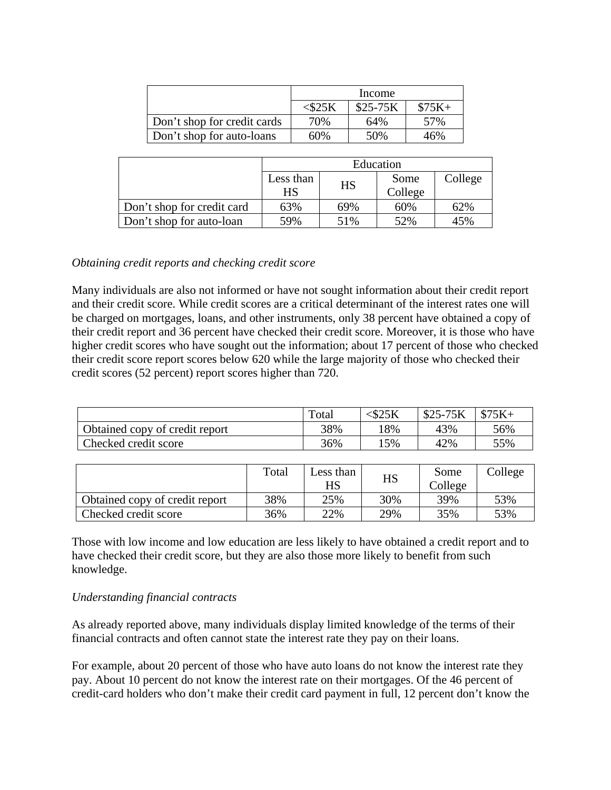|                             | Income |           |         |  |
|-----------------------------|--------|-----------|---------|--|
|                             |        | $$25-75K$ | $$75K+$ |  |
| Don't shop for credit cards | 70%    | 64%       | 57%     |  |
| Don't shop for auto-loans   | 60%    | 50%       | 46%     |  |

|                            | Education |     |         |         |  |  |
|----------------------------|-----------|-----|---------|---------|--|--|
|                            | Less than |     | Some    | College |  |  |
|                            | <b>HS</b> | HS  | College |         |  |  |
| Don't shop for credit card | 63%       | 69% | 60%     | 62%     |  |  |
| Don't shop for auto-loan   | 59%       | 51% | 52%     | 45%     |  |  |

### *Obtaining credit reports and checking credit score*

Many individuals are also not informed or have not sought information about their credit report and their credit score. While credit scores are a critical determinant of the interest rates one will be charged on mortgages, loans, and other instruments, only 38 percent have obtained a copy of their credit report and 36 percent have checked their credit score. Moreover, it is those who have higher credit scores who have sought out the information; about 17 percent of those who checked their credit score report scores below 620 while the large majority of those who checked their credit scores (52 percent) report scores higher than 720.

|                                | Total | $<$ \$25 K | $$25-75K$ | $$75K+$ |
|--------------------------------|-------|------------|-----------|---------|
| Obtained copy of credit report | 38%   | 18%        | 43%       | 56%     |
| Checked credit score           | 36%   | 15%        | 42%       | 55%     |

|                                | Total | Less than<br>HS | HS  | Some<br>College | College |
|--------------------------------|-------|-----------------|-----|-----------------|---------|
| Obtained copy of credit report | 38%   | 25%             | 30% | 39%             | 53%     |
| Checked credit score           | 36%   | 22%             | 29% | 35%             | 53%     |

Those with low income and low education are less likely to have obtained a credit report and to have checked their credit score, but they are also those more likely to benefit from such knowledge.

### *Understanding financial contracts*

As already reported above, many individuals display limited knowledge of the terms of their financial contracts and often cannot state the interest rate they pay on their loans.

For example, about 20 percent of those who have auto loans do not know the interest rate they pay. About 10 percent do not know the interest rate on their mortgages. Of the 46 percent of credit-card holders who don't make their credit card payment in full, 12 percent don't know the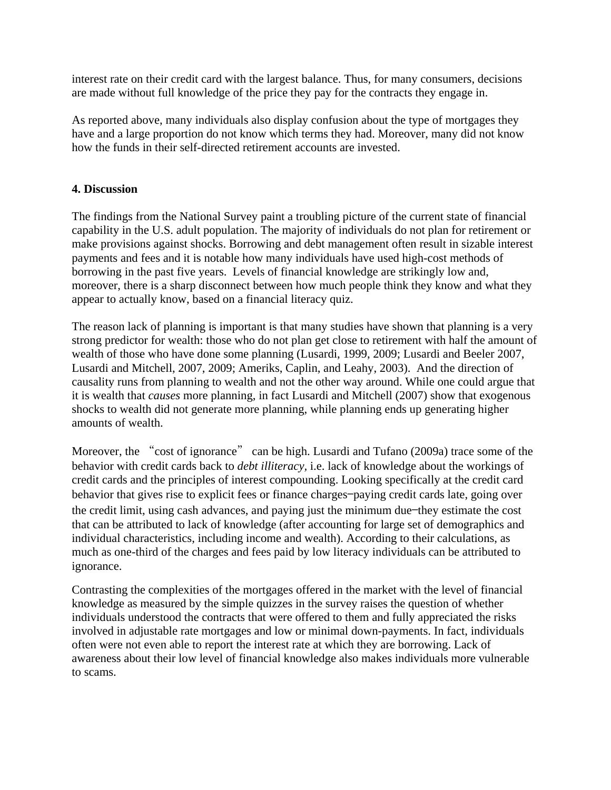interest rate on their credit card with the largest balance. Thus, for many consumers, decisions are made without full knowledge of the price they pay for the contracts they engage in.

As reported above, many individuals also display confusion about the type of mortgages they have and a large proportion do not know which terms they had. Moreover, many did not know how the funds in their self-directed retirement accounts are invested.

## **4. Discussion**

The findings from the National Survey paint a troubling picture of the current state of financial capability in the U.S. adult population. The majority of individuals do not plan for retirement or make provisions against shocks. Borrowing and debt management often result in sizable interest payments and fees and it is notable how many individuals have used high-cost methods of borrowing in the past five years. Levels of financial knowledge are strikingly low and, moreover, there is a sharp disconnect between how much people think they know and what they appear to actually know, based on a financial literacy quiz.

The reason lack of planning is important is that many studies have shown that planning is a very strong predictor for wealth: those who do not plan get close to retirement with half the amount of wealth of those who have done some planning (Lusardi, 1999, 2009; Lusardi and Beeler 2007, Lusardi and Mitchell, 2007, 2009; Ameriks, Caplin, and Leahy, 2003). And the direction of causality runs from planning to wealth and not the other way around. While one could argue that it is wealth that *causes* more planning, in fact Lusardi and Mitchell (2007) show that exogenous shocks to wealth did not generate more planning, while planning ends up generating higher amounts of wealth.

Moreover, the "cost of ignorance" can be high. Lusardi and Tufano (2009a) trace some of the behavior with credit cards back to *debt illiteracy,* i.e. lack of knowledge about the workings of credit cards and the principles of interest compounding. Looking specifically at the credit card behavior that gives rise to explicit fees or finance charges—paying credit cards late, going over the credit limit, using cash advances, and paying just the minimum due—they estimate the cost that can be attributed to lack of knowledge (after accounting for large set of demographics and individual characteristics, including income and wealth). According to their calculations, as much as one-third of the charges and fees paid by low literacy individuals can be attributed to ignorance.

Contrasting the complexities of the mortgages offered in the market with the level of financial knowledge as measured by the simple quizzes in the survey raises the question of whether individuals understood the contracts that were offered to them and fully appreciated the risks involved in adjustable rate mortgages and low or minimal down-payments. In fact, individuals often were not even able to report the interest rate at which they are borrowing. Lack of awareness about their low level of financial knowledge also makes individuals more vulnerable to scams.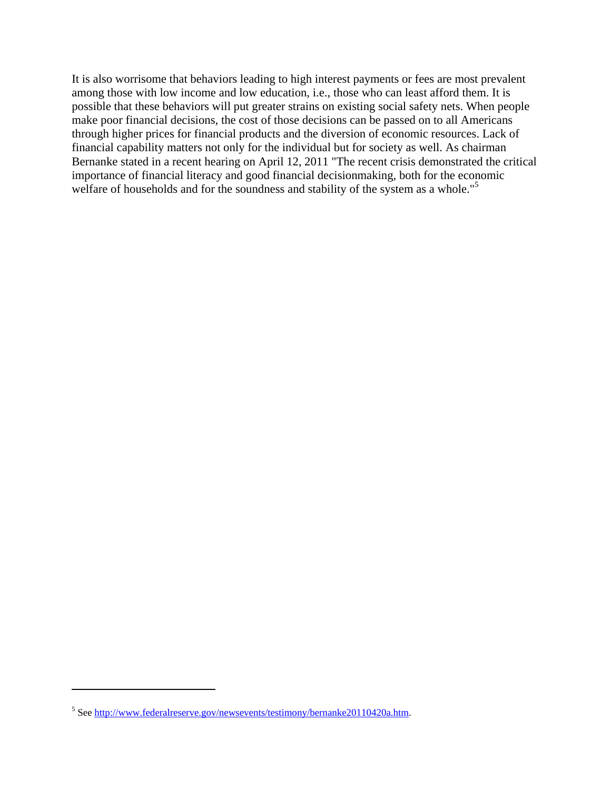It is also worrisome that behaviors leading to high interest payments or fees are most prevalent among those with low income and low education, i.e., those who can least afford them. It is possible that these behaviors will put greater strains on existing social safety nets. When people make poor financial decisions, the cost of those decisions can be passed on to all Americans through higher prices for financial products and the diversion of economic resources. Lack of financial capability matters not only for the individual but for society as well. As chairman Bernanke stated in a recent hearing on April 12, 2011 "The recent crisis demonstrated the critical importance of financial literacy and good financial decisionmaking, both for the economic welfare of households and for the soundness and stability of the system as a whole."<sup>5</sup>

<sup>&</sup>lt;sup>5</sup> See http://www.federalreserve.gov/newsevents/testimony/bernanke20110420a.htm.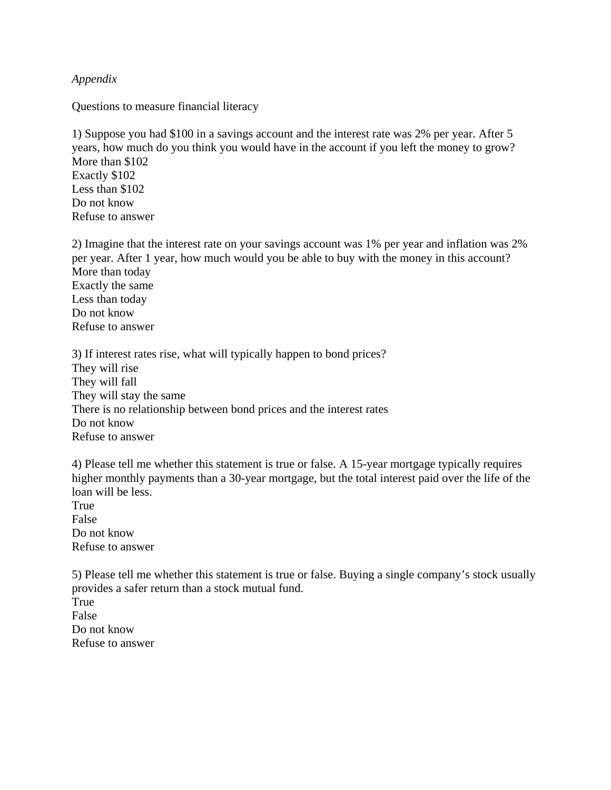*Appendix* 

Questions to measure financial literacy

 1) Suppose you had \$100 in a savings account and the interest rate was 2% per year. After 5 years, how much do you think you would have in the account if you left the money to grow? More than \$102 Exactly \$102 Less than \$102 Do not know Refuse to answer

 2) Imagine that the interest rate on your savings account was 1% per year and inflation was 2% per year. After 1 year, how much would you be able to buy with the money in this account? More than today Exactly the same Less than today Do not know Refuse to answer

3) If interest rates rise, what will typically happen to bond prices? They will rise They will fall They will stay the same There is no relationship between bond prices and the interest rates Do not know Refuse to answer

 4) Please tell me whether this statement is true or false. A 15-year mortgage typically requires higher monthly payments than a 30-year mortgage, but the total interest paid over the life of the loan will be less. True False Do not know

Refuse to answer

5) Please tell me whether this statement is true or false. Buying a single company's stock usually provides a safer return than a stock mutual fund.

True False Do not know Refuse to answer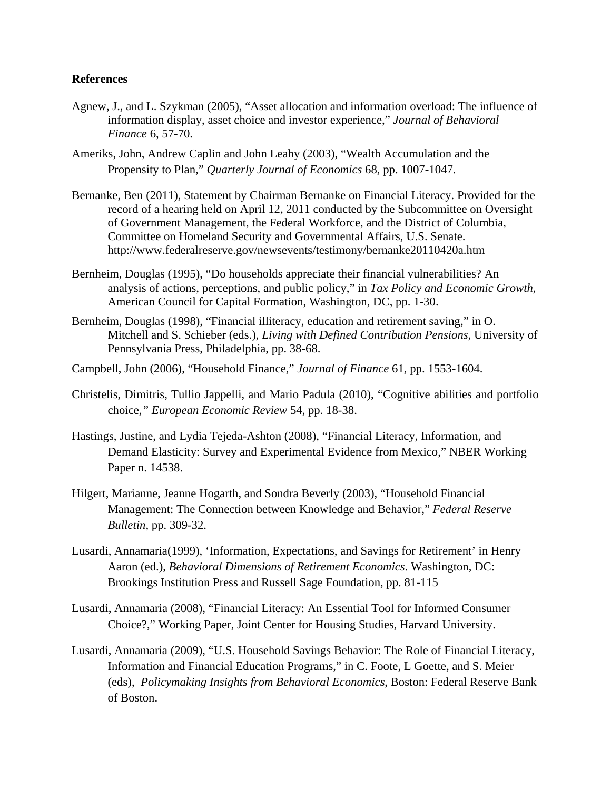#### **References**

- Agnew, J., and L. Szykman (2005), "Asset allocation and information overload: The influence of information display, asset choice and investor experience," *Journal of Behavioral Finance* 6, 57-70.
- Ameriks, John, Andrew Caplin and John Leahy (2003), "Wealth Accumulation and the Propensity to Plan," *Quarterly Journal of Economics* 68, pp. 1007-1047.
- Bernanke, Ben (2011), Statement by Chairman Bernanke on Financial Literacy. Provided for the record of a hearing held on April 12, 2011 conducted by the Subcommittee on Oversight of Government Management, the Federal Workforce, and the District of Columbia, Committee on Homeland Security and Governmental Affairs, U.S. Senate. http://www.federalreserve.gov/newsevents/testimony/bernanke20110420a.htm
- Bernheim, Douglas (1995), "Do households appreciate their financial vulnerabilities? An analysis of actions, perceptions, and public policy," in *Tax Policy and Economic Growth*, American Council for Capital Formation, Washington, DC, pp. 1-30.
- Bernheim, Douglas (1998), "Financial illiteracy, education and retirement saving," in O. Mitchell and S. Schieber (eds.), *Living with Defined Contribution Pensions*, University of Pennsylvania Press, Philadelphia, pp. 38-68.
- Campbell, John (2006), "Household Finance," *Journal of Finance* 61, pp. 1553-1604.
- Christelis, Dimitris, Tullio Jappelli, and Mario Padula (2010), "Cognitive abilities and portfolio choice*," European Economic Review* 54, pp. 18-38.
- Hastings, Justine, and Lydia Tejeda-Ashton (2008), "Financial Literacy, Information, and Demand Elasticity: Survey and Experimental Evidence from Mexico," NBER Working Paper n. 14538.
- Hilgert, Marianne, Jeanne Hogarth, and Sondra Beverly (2003), "Household Financial Management: The Connection between Knowledge and Behavior," *Federal Reserve Bulletin,* pp. 309-32.
- Lusardi, Annamaria(1999), 'Information, Expectations, and Savings for Retirement' in Henry Aaron (ed.), *Behavioral Dimensions of Retirement Economics*. Washington, DC: Brookings Institution Press and Russell Sage Foundation, pp. 81-115
- Lusardi, Annamaria (2008), "Financial Literacy: An Essential Tool for Informed Consumer Choice?," Working Paper, Joint Center for Housing Studies, Harvard University.
- Lusardi, Annamaria (2009), "U.S. Household Savings Behavior: The Role of Financial Literacy, Information and Financial Education Programs," in C. Foote, L Goette, and S. Meier (eds), *Policymaking Insights from Behavioral Economics*, Boston: Federal Reserve Bank of Boston.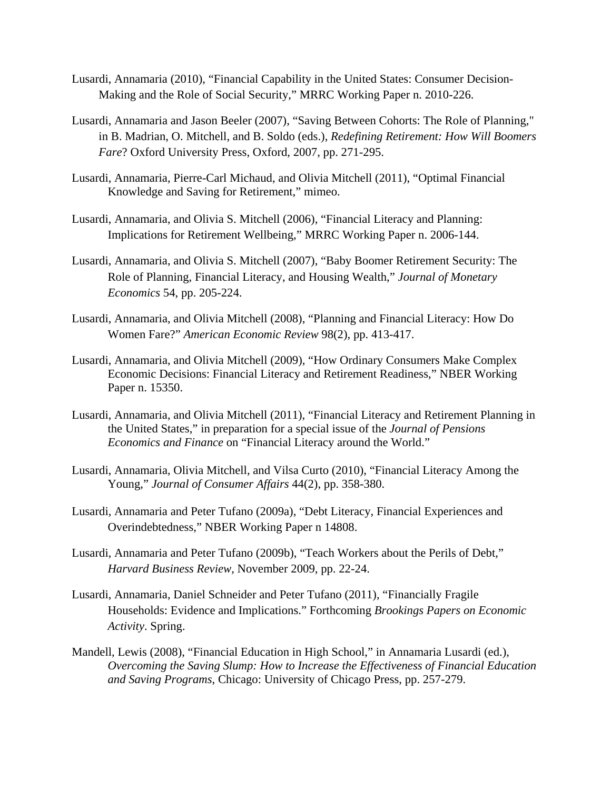- Lusardi, Annamaria (2010), "Financial Capability in the United States: Consumer Decision-Making and the Role of Social Security," MRRC Working Paper n. 2010-226.
- Lusardi, Annamaria and Jason Beeler (2007), "Saving Between Cohorts: The Role of Planning," in B. Madrian, O. Mitchell, and B. Soldo (eds.), *Redefining Retirement: How Will Boomers Fare*? Oxford University Press, Oxford, 2007, pp. 271-295.
- Lusardi, Annamaria, Pierre-Carl Michaud, and Olivia Mitchell (2011), "Optimal Financial Knowledge and Saving for Retirement," mimeo.
- Lusardi, Annamaria, and Olivia S. Mitchell (2006), "Financial Literacy and Planning: Implications for Retirement Wellbeing," MRRC Working Paper n. 2006-144.
- Lusardi, Annamaria, and Olivia S. Mitchell (2007), "Baby Boomer Retirement Security: The Role of Planning, Financial Literacy, and Housing Wealth," *Journal of Monetary Economics* 54, pp. 205-224.
- Lusardi, Annamaria, and Olivia Mitchell (2008), "Planning and Financial Literacy: How Do Women Fare?" *American Economic Review* 98(2), pp. 413-417.
- Lusardi, Annamaria, and Olivia Mitchell (2009), "How Ordinary Consumers Make Complex Economic Decisions: Financial Literacy and Retirement Readiness," NBER Working Paper n. 15350.
- Lusardi, Annamaria, and Olivia Mitchell (2011), "Financial Literacy and Retirement Planning in the United States," in preparation for a special issue of the *Journal of Pensions Economics and Finance* on "Financial Literacy around the World."
- Lusardi, Annamaria, Olivia Mitchell, and Vilsa Curto (2010), "Financial Literacy Among the Young," *Journal of Consumer Affairs* 44(2), pp. 358-380.
- Lusardi, Annamaria and Peter Tufano (2009a), "Debt Literacy, Financial Experiences and Overindebtedness," NBER Working Paper n 14808.
- Lusardi, Annamaria and Peter Tufano (2009b), "Teach Workers about the Perils of Debt," *Harvard Business Review,* November 2009, pp. 22-24.
- Lusardi, Annamaria, Daniel Schneider and Peter Tufano (2011), "Financially Fragile Households: Evidence and Implications." Forthcoming *Brookings Papers on Economic Activity*. Spring.
- Mandell, Lewis (2008), "Financial Education in High School," in Annamaria Lusardi (ed.), *Overcoming the Saving Slump: How to Increase the Effectiveness of Financial Education and Saving Programs*, Chicago: University of Chicago Press, pp. 257-279.